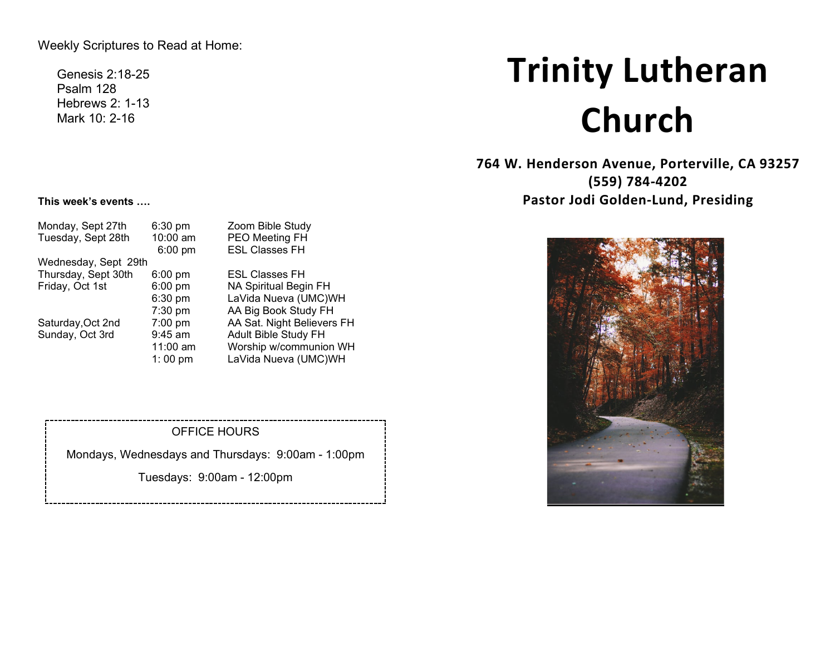Weekly Scriptures to Read at Home:

Genesis 2:18-25 Psalm 128 Hebrews 2: 1-13 Mark 10: 2-16

# **Trinity Lutheran Church**

**764 W. Henderson Avenue, Porterville, CA 93257 (559) 784-4202 Pastor Jodi Golden-Lund, Presiding**



#### **This week's events ….**

| Monday, Sept 27th    | $6:30$ pm         | Zoom Bible Study           |
|----------------------|-------------------|----------------------------|
| Tuesday, Sept 28th   | 10:00 am          | PEO Meeting FH             |
|                      | $6:00 \text{ pm}$ | <b>ESL Classes FH</b>      |
| Wednesday, Sept 29th |                   |                            |
| Thursday, Sept 30th  | $6:00 \text{ pm}$ | <b>ESL Classes FH</b>      |
| Friday, Oct 1st      | $6:00$ pm         | NA Spiritual Begin FH      |
|                      | $6:30$ pm         | LaVida Nueva (UMC)WH       |
|                      | $7:30$ pm         | AA Big Book Study FH       |
| Saturday, Oct 2nd    | 7:00 pm           | AA Sat. Night Believers FH |
| Sunday, Oct 3rd      | $9:45$ am         | Adult Bible Study FH       |
|                      | 11:00 am          | Worship w/communion WH     |
|                      | 1:00 pm           | LaVida Nueva (UMC)WH       |

#### OFFICE HOURS

Mondays, Wednesdays and Thursdays: 9:00am - 1:00pm

Tuesdays: 9:00am - 12:00pm